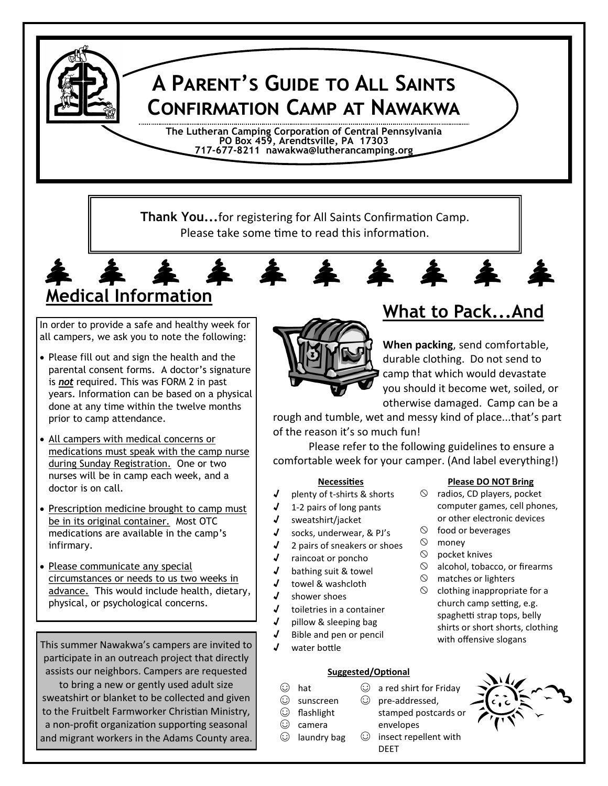# **A Parent's Guide to All Saints Confirmation Camp at Nawakwa**

**The Lutheran Camping Corporation of Central Pennsylvania PO Box 459, Arendtsville, PA 17303 717-677-8211 nawakwa@lutherancamping.org**

**Thank You...**for registering for All Saints Confirmation Camp. Please take some time to read this information.

# **Medical Information**

In order to provide a safe and healthy week for all campers, we ask you to note the following:

- Please fill out and sign the health and the parental consent forms. A doctor's signature is *not* required. This was FORM 2 in past years. Information can be based on a physical done at any time within the twelve months prior to camp attendance.
- All campers with medical concerns or medications must speak with the camp nurse during Sunday Registration. One or two nurses will be in camp each week, and a doctor is on call.
- Prescription medicine brought to camp must be in its original container. Most OTC medications are available in the camp's infirmary.
- Please communicate any special circumstances or needs to us two weeks in advance. This would include health, dietary, physical, or psychological concerns.

This summer Nawakwa's campers are invited to participate in an outreach project that directly assists our neighbors. Campers are requested to bring a new or gently used adult size sweatshirt or blanket to be collected and given to the Fruitbelt Farmworker Christian Ministry, a non-profit organization supporting seasonal and migrant workers in the Adams County area.



# **What to Pack...And**

**When packing**, send comfortable, durable clothing. Do not send to camp that which would devastate you should it become wet, soiled, or otherwise damaged. Camp can be a

rough and tumble, wet and messy kind of place...that's part of the reason it's so much fun!

Please refer to the following guidelines to ensure a comfortable week for your camper. (And label everything!)

### **Necessities**

- √ plenty of t-shirts & shorts
- √ 1-2 pairs of long pants
- √ sweatshirt/jacket
- √ socks, underwear, & PJ's
- $\sqrt{ }$  2 pairs of sneakers or shoes
- √ raincoat or poncho
- √ bathing suit & towel
- √ towel & washcloth
- √ shower shoes
- √ toiletries in a container
- √ pillow & sleeping bag
- √ Bible and pen or pencil
- water bottle

### **Suggested/Optional**

- ☺ hat
- ☺ sunscreen
- ☺ flashlight
- ☺ camera
	-

### **Please DO NOT Bring**

- $\circledcirc$  radios, CD players, pocket computer games, cell phones, or other electronic devices
- $\circledcirc$  food or beverages
- $\circledcirc$  monev
- $\circledcirc$  pocket knives
- $\odot$  alcohol, tobacco, or firearms
- $\circledcirc$  matches or lighters
- $\circledcirc$  clothing inappropriate for a church camp setting, e.g. spaghetti strap tops, belly shirts or short shorts, clothing with offensive slogans



 $\odot$  a red shirt for Friday

envelopes ☺ insect repellent with

DEET

# ☺ pre-addressed,

- 
- ☺ laundry bag
- 
-